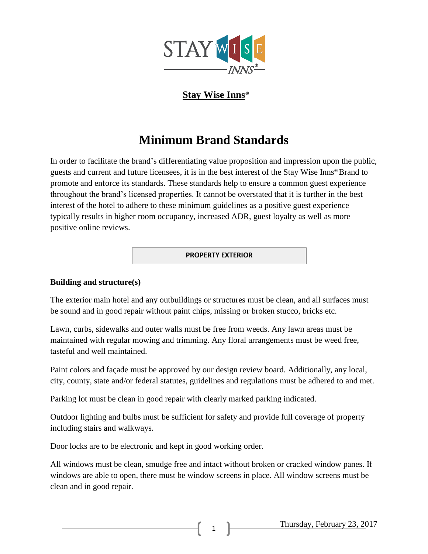

## **Stay Wise Inns**®

# **Minimum Brand Standards**

In order to facilitate the brand's differentiating value proposition and impression upon the public, guests and current and future licensees, it is in the best interest of the Stay Wise Inns® Brand to promote and enforce its standards. These standards help to ensure a common guest experience throughout the brand's licensed properties. It cannot be overstated that it is further in the best interest of the hotel to adhere to these minimum guidelines as a positive guest experience typically results in higher room occupancy, increased ADR, guest loyalty as well as more positive online reviews.

#### **PROPERTY EXTERIOR**

## **Building and structure(s)**

The exterior main hotel and any outbuildings or structures must be clean, and all surfaces must be sound and in good repair without paint chips, missing or broken stucco, bricks etc.

Lawn, curbs, sidewalks and outer walls must be free from weeds. Any lawn areas must be maintained with regular mowing and trimming. Any floral arrangements must be weed free, tasteful and well maintained.

Paint colors and façade must be approved by our design review board. Additionally, any local, city, county, state and/or federal statutes, guidelines and regulations must be adhered to and met.

Parking lot must be clean in good repair with clearly marked parking indicated.

Outdoor lighting and bulbs must be sufficient for safety and provide full coverage of property including stairs and walkways.

Door locks are to be electronic and kept in good working order.

All windows must be clean, smudge free and intact without broken or cracked window panes. If windows are able to open, there must be window screens in place. All window screens must be clean and in good repair.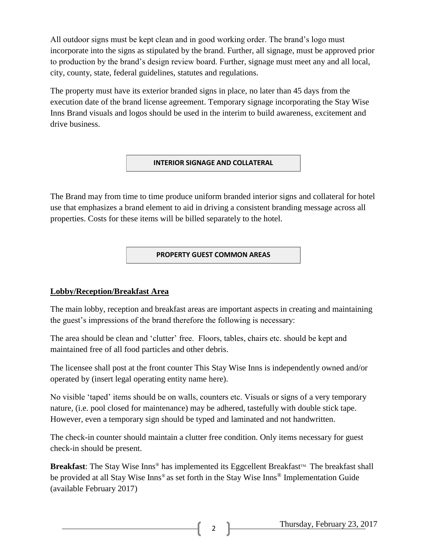All outdoor signs must be kept clean and in good working order. The brand's logo must incorporate into the signs as stipulated by the brand. Further, all signage, must be approved prior to production by the brand's design review board. Further, signage must meet any and all local, city, county, state, federal guidelines, statutes and regulations.

The property must have its exterior branded signs in place, no later than 45 days from the execution date of the brand license agreement. Temporary signage incorporating the Stay Wise Inns Brand visuals and logos should be used in the interim to build awareness, excitement and drive business.

## **INTERIOR SIGNAGE AND COLLATERAL**

The Brand may from time to time produce uniform branded interior signs and collateral for hotel use that emphasizes a brand element to aid in driving a consistent branding message across all properties. Costs for these items will be billed separately to the hotel.

## **PROPERTY GUEST COMMON AREAS**

## **Lobby/Reception/Breakfast Area**

The main lobby, reception and breakfast areas are important aspects in creating and maintaining the guest's impressions of the brand therefore the following is necessary:

The area should be clean and 'clutter' free. Floors, tables, chairs etc. should be kept and maintained free of all food particles and other debris.

The licensee shall post at the front counter This Stay Wise Inns is independently owned and/or operated by (insert legal operating entity name here).

No visible 'taped' items should be on walls, counters etc. Visuals or signs of a very temporary nature, (i.e. pool closed for maintenance) may be adhered, tastefully with double stick tape. However, even a temporary sign should be typed and laminated and not handwritten.

The check-in counter should maintain a clutter free condition. Only items necessary for guest check-in should be present.

**Breakfast**: The Stay Wise  $\text{Inns}^{\circledast}$  has implemented its Eggcellent Breakfast<sup>TM</sup>. The breakfast shall be provided at all Stay Wise Inns® as set forth in the Stay Wise Inns® Implementation Guide (available February 2017)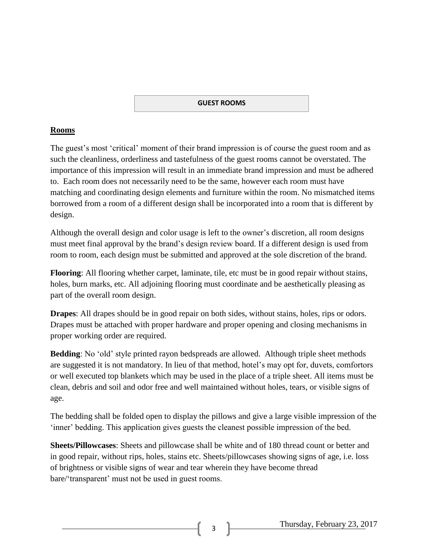#### **GUEST ROOMS**

## **Rooms**

The guest's most 'critical' moment of their brand impression is of course the guest room and as such the cleanliness, orderliness and tastefulness of the guest rooms cannot be overstated. The importance of this impression will result in an immediate brand impression and must be adhered to. Each room does not necessarily need to be the same, however each room must have matching and coordinating design elements and furniture within the room. No mismatched items borrowed from a room of a different design shall be incorporated into a room that is different by design.

Although the overall design and color usage is left to the owner's discretion, all room designs must meet final approval by the brand's design review board. If a different design is used from room to room, each design must be submitted and approved at the sole discretion of the brand.

**Flooring**: All flooring whether carpet, laminate, tile, etc must be in good repair without stains, holes, burn marks, etc. All adjoining flooring must coordinate and be aesthetically pleasing as part of the overall room design.

**Drapes**: All drapes should be in good repair on both sides, without stains, holes, rips or odors. Drapes must be attached with proper hardware and proper opening and closing mechanisms in proper working order are required.

**Bedding**: No 'old' style printed rayon bedspreads are allowed. Although triple sheet methods are suggested it is not mandatory. In lieu of that method, hotel's may opt for, duvets, comfortors or well executed top blankets which may be used in the place of a triple sheet. All items must be clean, debris and soil and odor free and well maintained without holes, tears, or visible signs of age.

The bedding shall be folded open to display the pillows and give a large visible impression of the 'inner' bedding. This application gives guests the cleanest possible impression of the bed.

**Sheets/Pillowcases**: Sheets and pillowcase shall be white and of 180 thread count or better and in good repair, without rips, holes, stains etc. Sheets/pillowcases showing signs of age, i.e. loss of brightness or visible signs of wear and tear wherein they have become thread bare/'transparent' must not be used in guest rooms.

Thursday, February 23, 2017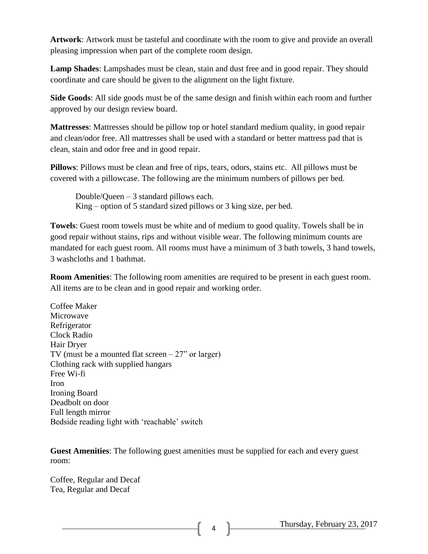**Artwork**: Artwork must be tasteful and coordinate with the room to give and provide an overall pleasing impression when part of the complete room design.

**Lamp Shades**: Lampshades must be clean, stain and dust free and in good repair. They should coordinate and care should be given to the alignment on the light fixture.

**Side Goods**: All side goods must be of the same design and finish within each room and further approved by our design review board.

**Mattresses**: Mattresses should be pillow top or hotel standard medium quality, in good repair and clean/odor free. All mattresses shall be used with a standard or better mattress pad that is clean, stain and odor free and in good repair.

**Pillows**: Pillows must be clean and free of rips, tears, odors, stains etc. All pillows must be covered with a pillowcase. The following are the minimum numbers of pillows per bed.

Double/Queen – 3 standard pillows each. King – option of 5 standard sized pillows or 3 king size, per bed.

**Towels**: Guest room towels must be white and of medium to good quality. Towels shall be in good repair without stains, rips and without visible wear. The following minimum counts are mandated for each guest room. All rooms must have a minimum of 3 bath towels, 3 hand towels, 3 washcloths and 1 bathmat.

**Room Amenities**: The following room amenities are required to be present in each guest room. All items are to be clean and in good repair and working order.

Coffee Maker Microwave Refrigerator Clock Radio Hair Dryer TV (must be a mounted flat screen  $-27$ " or larger) Clothing rack with supplied hangars Free Wi-fi Iron Ironing Board Deadbolt on door Full length mirror Bedside reading light with 'reachable' switch

**Guest Amenities**: The following guest amenities must be supplied for each and every guest room:

Coffee, Regular and Decaf Tea, Regular and Decaf

Thursday, February 23, 2017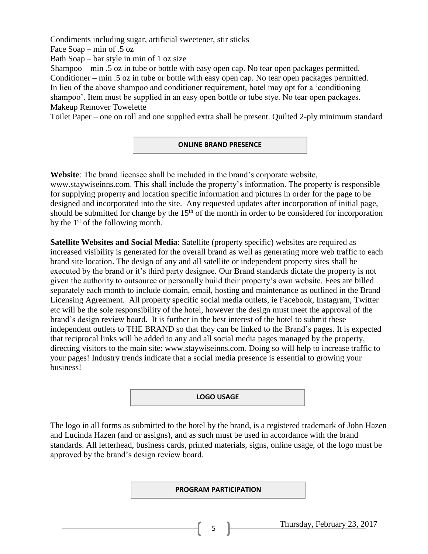Condiments including sugar, artificial sweetener, stir sticks

Face Soap – min of .5 oz

Bath Soap – bar style in min of 1 oz size

Shampoo – min .5 oz in tube or bottle with easy open cap. No tear open packages permitted. Conditioner – min .5 oz in tube or bottle with easy open cap. No tear open packages permitted. In lieu of the above shampoo and conditioner requirement, hotel may opt for a 'conditioning shampoo'. Item must be supplied in an easy open bottle or tube stye. No tear open packages. Makeup Remover Towelette

Toilet Paper – one on roll and one supplied extra shall be present. Quilted 2-ply minimum standard

## **ONLINE BRAND PRESENCE**

**Website**: The brand licensee shall be included in the brand's corporate website, www.staywiseinns.com. This shall include the property's information. The property is responsible for supplying property and location specific information and pictures in order for the page to be designed and incorporated into the site. Any requested updates after incorporation of initial page, should be submitted for change by the  $15<sup>th</sup>$  of the month in order to be considered for incorporation by the  $1<sup>st</sup>$  of the following month.

**Satellite Websites and Social Media**: Satellite (property specific) websites are required as increased visibility is generated for the overall brand as well as generating more web traffic to each brand site location. The design of any and all satellite or independent property sites shall be executed by the brand or it's third party designee. Our Brand standards dictate the property is not given the authority to outsource or personally build their property's own website. Fees are billed separately each month to include domain, email, hosting and maintenance as outlined in the Brand Licensing Agreement. All property specific social media outlets, ie Facebook, Instagram, Twitter etc will be the sole responsibility of the hotel, however the design must meet the approval of the brand's design review board. It is further in the best interest of the hotel to submit these independent outlets to THE BRAND so that they can be linked to the Brand's pages. It is expected that reciprocal links will be added to any and all social media pages managed by the property, directing visitors to the main site: www.staywiseinns.com. Doing so will help to increase traffic to your pages! Industry trends indicate that a social media presence is essential to growing your business!

#### **LOGO USAGE**

The logo in all forms as submitted to the hotel by the brand, is a registered trademark of John Hazen and Lucinda Hazen (and or assigns), and as such must be used in accordance with the brand standards. All letterhead, business cards, printed materials, signs, online usage, of the logo must be approved by the brand's design review board.

**PROGRAM PARTICIPATION**